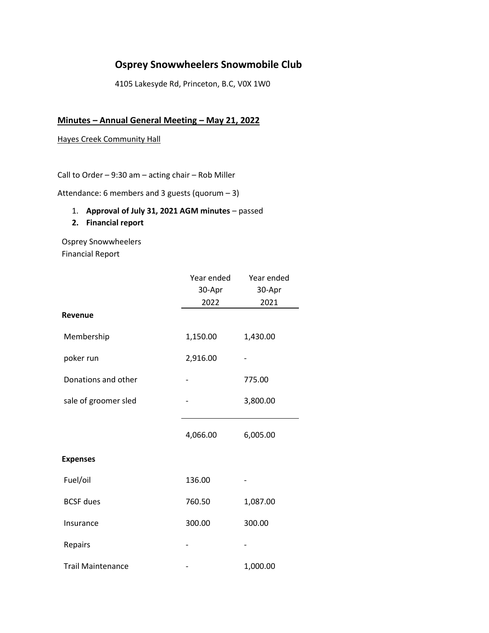# **Osprey Snowwheelers Snowmobile Club**

4105 Lakesyde Rd, Princeton, B.C, V0X 1W0

## **Minutes – Annual General Meeting – May 21, 2022**

#### Hayes Creek Community Hall

Call to Order – 9:30 am – acting chair – Rob Miller

Attendance: 6 members and 3 guests (quorum – 3)

1. **Approval of July 31, 2021 AGM minutes** – passed

#### **2. Financial report**

Osprey Snowwheelers Financial Report

|                          | Year ended | Year ended |
|--------------------------|------------|------------|
|                          | 30-Apr     | 30-Apr     |
|                          | 2022       | 2021       |
| <b>Revenue</b>           |            |            |
| Membership               | 1,150.00   | 1,430.00   |
| poker run                | 2,916.00   |            |
| Donations and other      |            | 775.00     |
| sale of groomer sled     |            | 3,800.00   |
|                          | 4,066.00   | 6,005.00   |
| <b>Expenses</b>          |            |            |
| Fuel/oil                 | 136.00     |            |
| <b>BCSF</b> dues         | 760.50     | 1,087.00   |
| Insurance                | 300.00     | 300.00     |
| Repairs                  |            |            |
| <b>Trail Maintenance</b> |            | 1,000.00   |